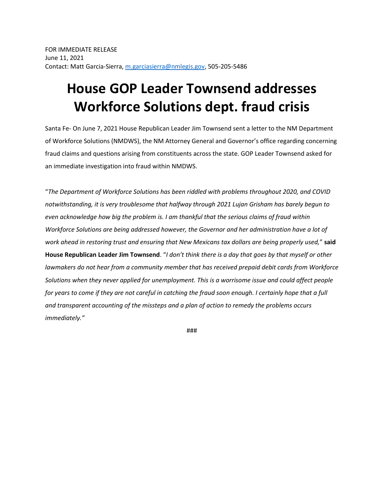## **House GOP Leader Townsend addresses Workforce Solutions dept. fraud crisis**

Santa Fe- On June 7, 2021 House Republican Leader Jim Townsend sent a letter to the NM Department of Workforce Solutions (NMDWS), the NM Attorney General and Governor's office regarding concerning fraud claims and questions arising from constituents across the state. GOP Leader Townsend asked for an immediate investigation into fraud within NMDWS.

"*The Department of Workforce Solutions has been riddled with problems throughout 2020, and COVID notwithstanding, it is very troublesome that halfway through 2021 Lujan Grisham has barely begun to even acknowledge how big the problem is. I am thankful that the serious claims of fraud within Workforce Solutions are being addressed however, the Governor and her administration have a lot of work ahead in restoring trust and ensuring that New Mexicans tax dollars are being properly used,*" **said House Republican Leader Jim Townsend**. "*I don't think there is a day that goes by that myself or other lawmakers do not hear from a community member that has received prepaid debit cards from Workforce Solutions when they never applied for unemployment. This is a worrisome issue and could affect people*  for years to come if they are not careful in catching the fraud soon enough. I certainly hope that a full *and transparent accounting of the missteps and a plan of action to remedy the problems occurs immediately."*

###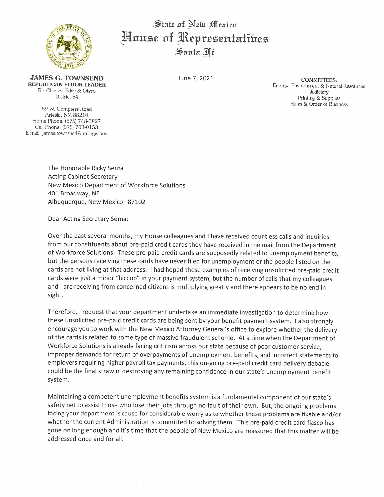

State of New Mexico House of Representatibes Santa Fé

**JAMES G. TOWNSEND REPUBLICAN FLOOR LEADER** R - Chaves, Eddy & Otero District 54

69 W. Compress Road Artesia, NM 88210 Home Phone: (575) 748-3827 Cell Phone: (575) 703-0153 E-mail: james.townsend@nmlegis.gov June 7, 2021

**COMMITTEES:** Energy, Environment & Natural Resources Judiciary Printing & Supplies Rules & Order of Business

The Honorable Ricky Serna **Acting Cabinet Secretary** New Mexico Department of Workforce Solutions 401 Broadway, NE Albuquerque, New Mexico 87102

Dear Acting Secretary Serna:

Over the past several months, my House colleagues and I have received countless calls and inquiries from our constituents about pre-paid credit cards they have received in the mail from the Department of Workforce Solutions. These pre-paid credit cards are supposedly related to unemployment benefits, but the persons receiving these cards have never filed for unemployment or the people listed on the cards are not living at that address. I had hoped these examples of receiving unsolicited pre-paid credit cards were just a minor "hiccup" in your payment system, but the number of calls that my colleagues and I are receiving from concerned citizens is multiplying greatly and there appears to be no end in sight.

Therefore, I request that your department undertake an immediate investigation to determine how these unsolicited pre-paid credit cards are being sent by your benefit payment system. I also strongly encourage you to work with the New Mexico Attorney General's office to explore whether the delivery of the cards is related to some type of massive fraudulent scheme. At a time when the Department of Workforce Solutions is already facing criticism across our state because of poor customer service, improper demands for return of overpayments of unemployment benefits, and incorrect statements to employers requiring higher payroll tax payments, this on-going pre-paid credit card delivery debacle could be the final straw in destroying any remaining confidence in our state's unemployment benefit system.

Maintaining a competent unemployment benefits system is a fundamental component of our state's safety net to assist those who lose their jobs through no fault of their own. But, the ongoing problems facing your department is cause for considerable worry as to whether these problems are fixable and/or whether the current Administration is committed to solving them. This pre-paid credit card fiasco has gone on long enough and it's time that the people of New Mexico are reassured that this matter will be addressed once and for all.